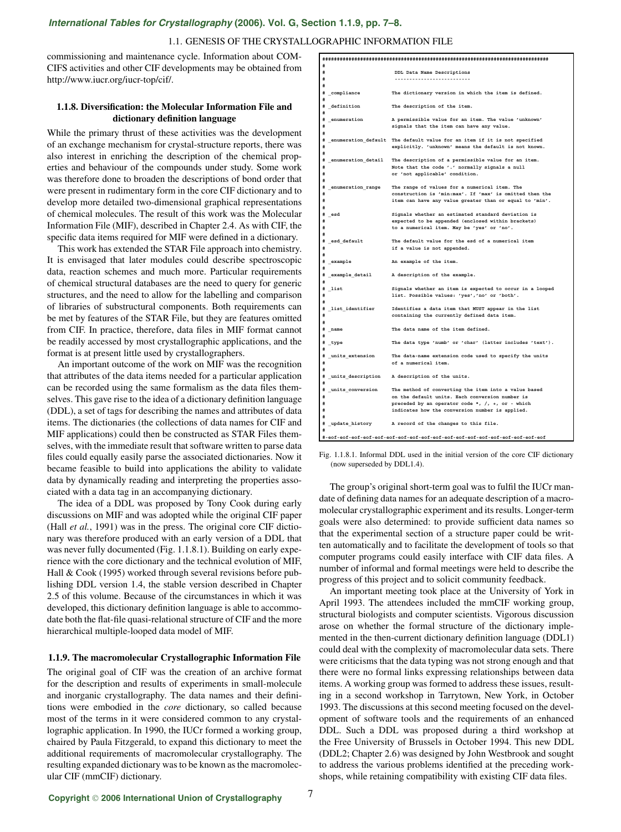# *[International Tables for Crystallography](http://it.iucr.org/Ga/ch1o1v0001/sec1o1o9/)* **(2006). Vol. G, Section 1.1.9, pp. 7–8.**

#### 1.1. GENESIS OF THE CRYSTALLOGRAPHIC INFORMATION FILE

commissioning and maintenance cycle. Information about COM-CIFS activities and other CIF developments may be obtained from http://www.iucr.org/iucr-top/cif/.

### **1.1.8. Diversification: the Molecular Information File and dictionary definition language**

While the primary thrust of these activities was the development of an exchange mechanism for crystal-structure reports, there was also interest in enriching the description of the chemical properties and behaviour of the compounds under study. Some work was therefore done to broaden the descriptions of bond order that were present in rudimentary form in the core CIF dictionary and to develop more detailed two-dimensional graphical representations of chemical molecules. The result of this work was the Molecular Information File (MIF), described in Chapter 2.4. As with CIF, the specific data items required for MIF were defined in a dictionary.

This work has extended the STAR File approach into chemistry. It is envisaged that later modules could describe spectroscopic data, reaction schemes and much more. Particular requirements of chemical structural databases are the need to query for generic structures, and the need to allow for the labelling and comparison of libraries of substructural components. Both requirements can be met by features of the STAR File, but they are features omitted from CIF. In practice, therefore, data files in MIF format cannot be readily accessed by most crystallographic applications, and the format is at present little used by crystallographers.

An important outcome of the work on MIF was the recognition that attributes of the data items needed for a particular application can be recorded using the same formalism as the data files themselves. This gave rise to the idea of a dictionary definition language (DDL), a set of tags for describing the names and attributes of data items. The dictionaries (the collections of data names for CIF and MIF applications) could then be constructed as STAR Files themselves, with the immediate result that software written to parse data files could equally easily parse the associated dictionaries. Now it became feasible to build into applications the ability to validate data by dynamically reading and interpreting the properties associated with a data tag in an accompanying dictionary.

The idea of a DDL was proposed by Tony Cook during early discussions on MIF and was adopted while the original CIF paper (Hall *et al.*, 1991) was in the press. The original core CIF dictionary was therefore produced with an early version of a DDL that was never fully documented (Fig. 1.1.8.1). Building on early experience with the core dictionary and the technical evolution of MIF, Hall & Cook (1995) worked through several revisions before publishing DDL version 1.4, the stable version described in Chapter 2.5 of this volume. Because of the circumstances in which it was developed, this dictionary definition language is able to accommodate both the flat-file quasi-relational structure of CIF and the more hierarchical multiple-looped data model of MIF.

#### **1.1.9. The macromolecular Crystallographic Information File**

The original goal of CIF was the creation of an archive format for the description and results of experiments in small-molecule and inorganic crystallography. The data names and their definitions were embodied in the *core* dictionary, so called because most of the terms in it were considered common to any crystallographic application. In 1990, the IUCr formed a working group, chaired by Paula Fitzgerald, to expand this dictionary to meet the additional requirements of macromolecular crystallography. The resulting expanded dictionary was to be known as the macromolecular CIF (mmCIF) dictionary.

| #                        |                                                                             |
|--------------------------|-----------------------------------------------------------------------------|
| #                        | DDL Data Name Descriptions                                                  |
| #                        |                                                                             |
| #                        |                                                                             |
| # _compliance            | The dictionary version in which the item is defined.                        |
|                          |                                                                             |
| # definition             | The description of the item.                                                |
| #                        |                                                                             |
| # _enumeration           | A permissible value for an item. The value 'unknown'                        |
| #                        | signals that the item can have any value.                                   |
| #                        |                                                                             |
|                          | # _enumeration_default The default value for an item if it is not specified |
| #                        | explicitly. 'unknown' means the default is not known.                       |
| #                        |                                                                             |
|                          | # _enumeration_detail The description of a permissible value for an item.   |
| #                        | Note that the code '.' normally signals a null                              |
| #                        | or 'not applicable' condition.                                              |
| #                        |                                                                             |
| # _enumeration_range     | The range of values for a numerical item. The                               |
| #                        | construction is 'min:max'. If 'max' is omitted then the                     |
| #                        | item can have any value greater than or equal to 'min'.                     |
| #                        |                                                                             |
| # _esd                   | Signals whether an estimated standard deviation is                          |
| #                        | expected to be appended (enclosed within brackets)                          |
| #                        | to a numerical item. May be 'yes' or 'no'.                                  |
| #                        |                                                                             |
| # _esd_default           | The default value for the esd of a numerical item                           |
| #                        | if a value is not appended.                                                 |
| #                        |                                                                             |
| # _example               | An example of the item.                                                     |
| ≖                        |                                                                             |
| # _example_detail        | A description of the example.                                               |
| #                        |                                                                             |
| # list                   | Signals whether an item is expected to occur in a looped                    |
| ₩                        | list. Possible values: 'yes','no' or 'both'.                                |
|                          |                                                                             |
| # list identifier        | Identifies a data item that MUST appear in the list                         |
| #                        | containing the currently defined data item.                                 |
| #                        |                                                                             |
| # name                   | The data name of the item defined.                                          |
| #                        |                                                                             |
|                          | The data type 'numb' or 'char' (latter includes 'text').                    |
| # _type<br>#             |                                                                             |
| # _units_extension       | The data-name extension code used to specify the units                      |
| #                        | of a numerical item.                                                        |
| #                        |                                                                             |
| # units description      | A description of the units.                                                 |
| #                        |                                                                             |
|                          | The method of converting the item into a value based                        |
| # _units_conversion<br># | on the default units. Each conversion number is                             |
| #                        | preceded by an operator code *, $/$ , +, or - which                         |
| #                        |                                                                             |
|                          | indicates how the conversion number is applied.                             |
|                          |                                                                             |
|                          | # _update_history A record of the changes to this file.                     |
| #                        |                                                                             |
|                          |                                                                             |

Fig. 1.1.8.1. Informal DDL used in the initial version of the core CIF dictionary (now superseded by DDL1.4).

The group's original short-term goal was to fulfil the IUCr mandate of defining data names for an adequate description of a macromolecular crystallographic experiment and its results. Longer-term goals were also determined: to provide sufficient data names so that the experimental section of a structure paper could be written automatically and to facilitate the development of tools so that computer programs could easily interface with CIF data files. A number of informal and formal meetings were held to describe the progress of this project and to solicit community feedback.

An important meeting took place at the University of York in April 1993. The attendees included the mmCIF working group, structural biologists and computer scientists. Vigorous discussion arose on whether the formal structure of the dictionary implemented in the then-current dictionary definition language (DDL1) could deal with the complexity of macromolecular data sets. There were criticisms that the data typing was not strong enough and that there were no formal links expressing relationships between data items. A working group was formed to address these issues, resulting in a second workshop in Tarrytown, New York, in October 1993. The discussions at this second meeting focused on the development of software tools and the requirements of an enhanced DDL. Such a DDL was proposed during a third workshop at the Free University of Brussels in October 1994. This new DDL (DDL2; Chapter 2.6) was designed by John Westbrook and sought to address the various problems identified at the preceding workshops, while retaining compatibility with existing CIF data files.

#### **Copyright** © **2006 International Union of Crystallography**